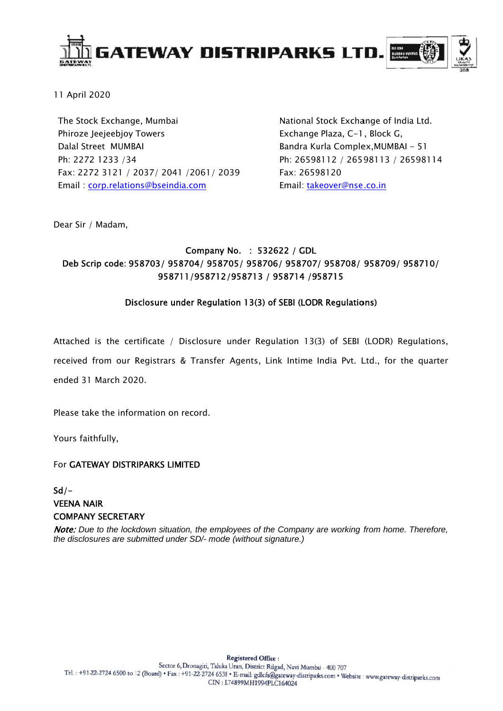

11 April 2020

The Stock Exchange, Mumbai Phiroze Jeejeebjoy Towers Dalal Street MUMBAI Ph: 2272 1233 /34 Fax: 2272 3121 / 2037/ 2041 /2061/ 2039 Email corp.relations@bseindia.com

National Stock Exchange of India Ltd. Exchange Plaza, C-1, Block G, Bandra Kurla Complex, MUMBAI - 51 Ph: 26598112 / 26598113 / 26598114 Fax: 26598120 Email: takeover@nse.co.in

Dear Sir / Madam,

## Company No. : 532622 / GDL Deb Scrip code: 958703/958704/958705/958706/958707/958708/958709/958710/ 958711/958712/958713 / 958714 /958715

### Disclosure under Regulation 13(3) of SEBI (LODR Regulations)

Attached is the certificate / Disclosure under Regulation 13(3) of SEBI (LODR) Regulations, received from our Registrars & Transfer Agents, Link Intime India Pvt. Ltd., for the quarter

ended 31 March 2020

Please take the information on record.

Yours faithfully,

### For GATEWAY DISTRIPARKS LIMITED

 $Sd/-$ **VEENA NAIR COMPANY SECRETARY** 

Note: Due to the lockdown situation, the employees of the Company are working from home. Therefore, the disclosures are submitted under SD/- mode (without signature.)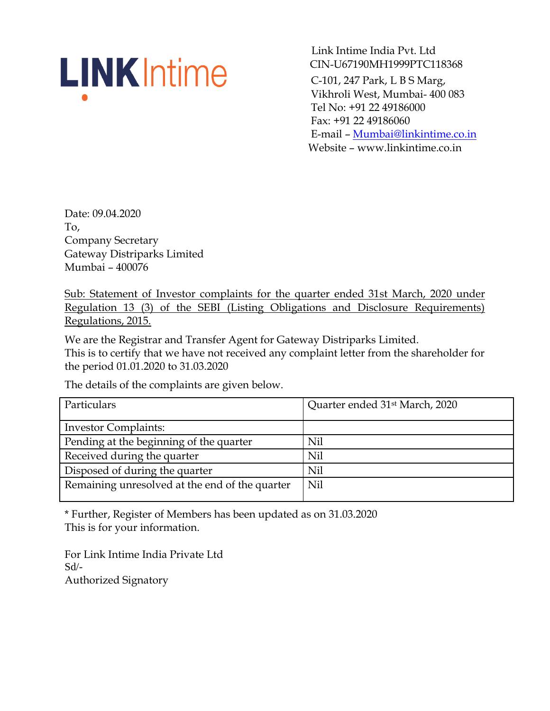# **LINK** Intime

 Link Intime India Pvt. Ltd CIN-U67190MH1999PTC118368 C-101, 247 Park, L B S Marg, Vikhroli West, Mumbai- 400 083 Tel No: +91 22 49186000 Fax: +91 22 49186060 E-mail – Mumbai@linkintime.co.in Website – www.linkintime.co.in

Date: 09.04.2020 To, Company Secretary Gateway Distriparks Limited Mumbai – 400076

Sub: Statement of Investor complaints for the quarter ended 31st March, 2020 under Regulation 13 (3) of the SEBI (Listing Obligations and Disclosure Requirements) Regulations, 2015.

We are the Registrar and Transfer Agent for Gateway Distriparks Limited. This is to certify that we have not received any complaint letter from the shareholder for the period 01.01.2020 to 31.03.2020

The details of the complaints are given below.

| Particulars                                    | Quarter ended 31 <sup>st</sup> March, 2020 |
|------------------------------------------------|--------------------------------------------|
| <b>Investor Complaints:</b>                    |                                            |
| Pending at the beginning of the quarter        | Nil                                        |
| Received during the quarter                    | Nil                                        |
| Disposed of during the quarter                 | Nil                                        |
| Remaining unresolved at the end of the quarter | Nil                                        |
|                                                |                                            |

\* Further, Register of Members has been updated as on 31.03.2020 This is for your information.

For Link Intime India Private Ltd  $S<sub>d</sub>$ Authorized Signatory